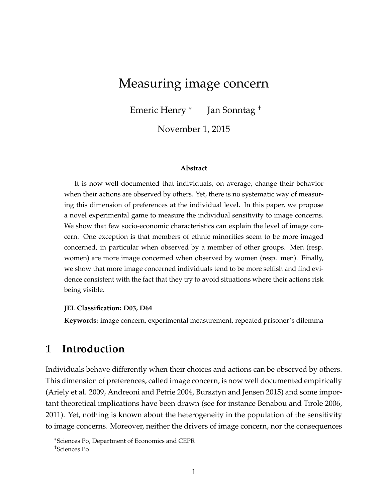# <span id="page-0-0"></span>Measuring image concern

Emeric Henry <sup>∗</sup> Jan Sonntag †

November 1, 2015

#### **Abstract**

It is now well documented that individuals, on average, change their behavior when their actions are observed by others. Yet, there is no systematic way of measuring this dimension of preferences at the individual level. In this paper, we propose a novel experimental game to measure the individual sensitivity to image concerns. We show that few socio-economic characteristics can explain the level of image concern. One exception is that members of ethnic minorities seem to be more imaged concerned, in particular when observed by a member of other groups. Men (resp. women) are more image concerned when observed by women (resp. men). Finally, we show that more image concerned individuals tend to be more selfish and find evidence consistent with the fact that they try to avoid situations where their actions risk being visible.

#### **JEL Classification: D03, D64**

**Keywords:** image concern, experimental measurement, repeated prisoner's dilemma

## **1 Introduction**

Individuals behave differently when their choices and actions can be observed by others. This dimension of preferences, called image concern, is now well documented empirically (Ariely et al. 2009, Andreoni and Petrie 2004, Bursztyn and Jensen 2015) and some important theoretical implications have been drawn (see for instance Benabou and Tirole 2006, 2011). Yet, nothing is known about the heterogeneity in the population of the sensitivity to image concerns. Moreover, neither the drivers of image concern, nor the consequences

<sup>∗</sup>Sciences Po, Department of Economics and CEPR †Sciences Po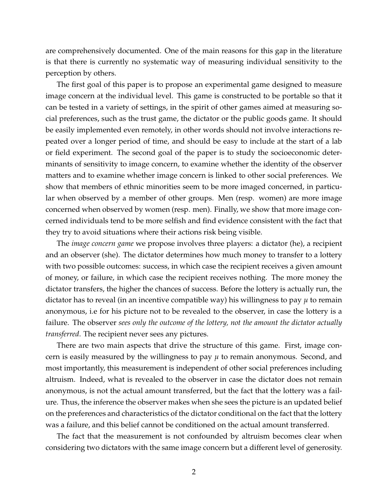are comprehensively documented. One of the main reasons for this gap in the literature is that there is currently no systematic way of measuring individual sensitivity to the perception by others.

The first goal of this paper is to propose an experimental game designed to measure image concern at the individual level. This game is constructed to be portable so that it can be tested in a variety of settings, in the spirit of other games aimed at measuring social preferences, such as the trust game, the dictator or the public goods game. It should be easily implemented even remotely, in other words should not involve interactions repeated over a longer period of time, and should be easy to include at the start of a lab or field experiment. The second goal of the paper is to study the socioeconomic determinants of sensitivity to image concern, to examine whether the identity of the observer matters and to examine whether image concern is linked to other social preferences. We show that members of ethnic minorities seem to be more imaged concerned, in particular when observed by a member of other groups. Men (resp. women) are more image concerned when observed by women (resp. men). Finally, we show that more image concerned individuals tend to be more selfish and find evidence consistent with the fact that they try to avoid situations where their actions risk being visible.

The *image concern game* we propose involves three players: a dictator (he), a recipient and an observer (she). The dictator determines how much money to transfer to a lottery with two possible outcomes: success, in which case the recipient receives a given amount of money, or failure, in which case the recipient receives nothing. The more money the dictator transfers, the higher the chances of success. Before the lottery is actually run, the dictator has to reveal (in an incentive compatible way) his willingness to pay *µ* to remain anonymous, i.e for his picture not to be revealed to the observer, in case the lottery is a failure. The observer *sees only the outcome of the lottery, not the amount the dictator actually transferred*. The recipient never sees any pictures.

There are two main aspects that drive the structure of this game. First, image concern is easily measured by the willingness to pay  $\mu$  to remain anonymous. Second, and most importantly, this measurement is independent of other social preferences including altruism. Indeed, what is revealed to the observer in case the dictator does not remain anonymous, is not the actual amount transferred, but the fact that the lottery was a failure. Thus, the inference the observer makes when she sees the picture is an updated belief on the preferences and characteristics of the dictator conditional on the fact that the lottery was a failure, and this belief cannot be conditioned on the actual amount transferred.

The fact that the measurement is not confounded by altruism becomes clear when considering two dictators with the same image concern but a different level of generosity.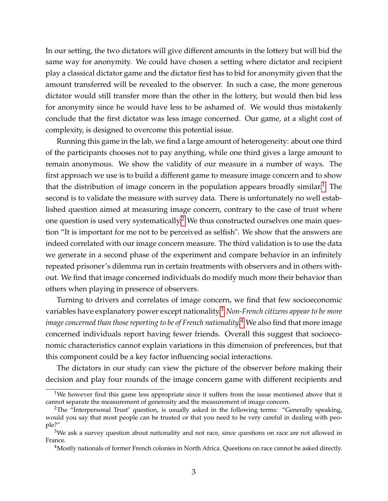In our setting, the two dictators will give different amounts in the lottery but will bid the same way for anonymity. We could have chosen a setting where dictator and recipient play a classical dictator game and the dictator first has to bid for anonymity given that the amount transferred will be revealed to the observer. In such a case, the more generous dictator would still transfer more than the other in the lottery, but would then bid less for anonymity since he would have less to be ashamed of. We would thus mistakenly conclude that the first dictator was less image concerned. Our game, at a slight cost of complexity, is designed to overcome this potential issue.

Running this game in the lab, we find a large amount of heterogeneity: about one third of the participants chooses not to pay anything, while one third gives a large amount to remain anonymous. We show the validity of our measure in a number of ways. The first approach we use is to build a different game to measure image concern and to show that the distribution of image concern in the population appears broadly similar.<sup>[1](#page-0-0)</sup> The second is to validate the measure with survey data. There is unfortunately no well established question aimed at measuring image concern, contrary to the case of trust where one question is used very systematically.<sup>[2](#page-0-0)</sup> We thus constructed ourselves one main question "It is important for me not to be perceived as selfish". We show that the answers are indeed correlated with our image concern measure. The third validation is to use the data we generate in a second phase of the experiment and compare behavior in an infinitely repeated prisoner's dilemma run in certain treatments with observers and in others without. We find that image concerned individuals do modify much more their behavior than others when playing in presence of observers.

Turning to drivers and correlates of image concern, we find that few socioeconomic variables have explanatory power except nationality.[3](#page-0-0) *Non-French citizens appear to be more image concerned than those reporting to be of French nationality.*[4](#page-0-0) We also find that more image concerned individuals report having fewer friends. Overall this suggest that socioeconomic characteristics cannot explain variations in this dimension of preferences, but that this component could be a key factor influencing social interactions.

The dictators in our study can view the picture of the observer before making their decision and play four rounds of the image concern game with different recipients and

<sup>&</sup>lt;sup>1</sup>We however find this game less appropriate since it suffers from the issue mentioned above that it cannot separate the measurement of generosity and the measurement of image concern.

<sup>&</sup>lt;sup>2</sup>The "Interpersonal Trust" question, is usually asked in the following terms: "Generally speaking, would you say that most people can be trusted or that you need to be very careful in dealing with people?"

 $3$ We ask a survey question about nationality and not race, since questions on race are not allowed in France.

<sup>4</sup>Mostly nationals of former French colonies in North Africa. Questions on race cannot be asked directly.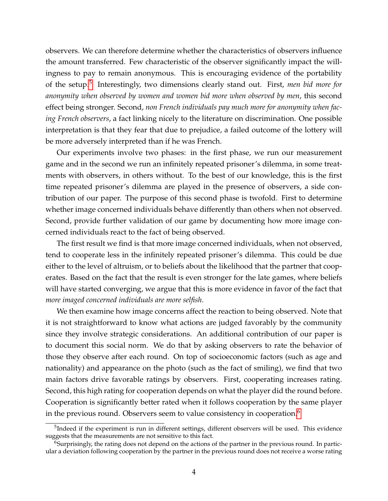observers. We can therefore determine whether the characteristics of observers influence the amount transferred. Few characteristic of the observer significantly impact the willingness to pay to remain anonymous. This is encouraging evidence of the portability of the setup.[5](#page-0-0) Interestingly, two dimensions clearly stand out. First, *men bid more for anonymity when observed by women and women bid more when observed by men*, this second effect being stronger. Second, *non French individuals pay much more for anonymity when facing French observers*, a fact linking nicely to the literature on discrimination. One possible interpretation is that they fear that due to prejudice, a failed outcome of the lottery will be more adversely interpreted than if he was French.

Our experiments involve two phases: in the first phase, we run our measurement game and in the second we run an infinitely repeated prisoner's dilemma, in some treatments with observers, in others without. To the best of our knowledge, this is the first time repeated prisoner's dilemma are played in the presence of observers, a side contribution of our paper. The purpose of this second phase is twofold. First to determine whether image concerned individuals behave differently than others when not observed. Second, provide further validation of our game by documenting how more image concerned individuals react to the fact of being observed.

The first result we find is that more image concerned individuals, when not observed, tend to cooperate less in the infinitely repeated prisoner's dilemma. This could be due either to the level of altruism, or to beliefs about the likelihood that the partner that cooperates. Based on the fact that the result is even stronger for the late games, where beliefs will have started converging, we argue that this is more evidence in favor of the fact that *more imaged concerned individuals are more selfish*.

We then examine how image concerns affect the reaction to being observed. Note that it is not straightforward to know what actions are judged favorably by the community since they involve strategic considerations. An additional contribution of our paper is to document this social norm. We do that by asking observers to rate the behavior of those they observe after each round. On top of socioeconomic factors (such as age and nationality) and appearance on the photo (such as the fact of smiling), we find that two main factors drive favorable ratings by observers. First, cooperating increases rating. Second, this high rating for cooperation depends on what the player did the round before. Cooperation is significantly better rated when it follows cooperation by the same player in the previous round. Observers seem to value consistency in cooperation.<sup>[6](#page-0-0)</sup>

<sup>&</sup>lt;sup>5</sup>Indeed if the experiment is run in different settings, different observers will be used. This evidence suggests that the measurements are not sensitive to this fact.

 $6$ Surprisingly, the rating does not depend on the actions of the partner in the previous round. In particular a deviation following cooperation by the partner in the previous round does not receive a worse rating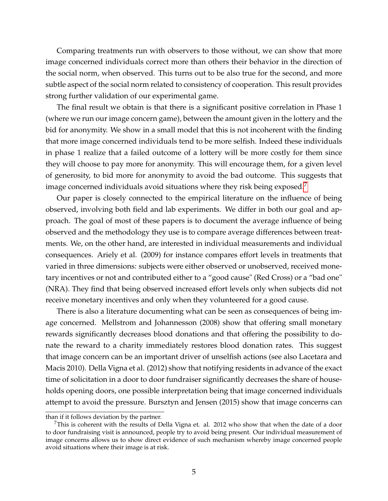Comparing treatments run with observers to those without, we can show that more image concerned individuals correct more than others their behavior in the direction of the social norm, when observed. This turns out to be also true for the second, and more subtle aspect of the social norm related to consistency of cooperation. This result provides strong further validation of our experimental game.

The final result we obtain is that there is a significant positive correlation in Phase 1 (where we run our image concern game), between the amount given in the lottery and the bid for anonymity. We show in a small model that this is not incoherent with the finding that more image concerned individuals tend to be more selfish. Indeed these individuals in phase 1 realize that a failed outcome of a lottery will be more costly for them since they will choose to pay more for anonymity. This will encourage them, for a given level of generosity, to bid more for anonymity to avoid the bad outcome. This suggests that image concerned individuals avoid situations where they risk being exposed.<sup>[7](#page-0-0)</sup>

Our paper is closely connected to the empirical literature on the influence of being observed, involving both field and lab experiments. We differ in both our goal and approach. The goal of most of these papers is to document the average influence of being observed and the methodology they use is to compare average differences between treatments. We, on the other hand, are interested in individual measurements and individual consequences. Ariely et al. (2009) for instance compares effort levels in treatments that varied in three dimensions: subjects were either observed or unobserved, received monetary incentives or not and contributed either to a "good cause" (Red Cross) or a "bad one" (NRA). They find that being observed increased effort levels only when subjects did not receive monetary incentives and only when they volunteered for a good cause.

There is also a literature documenting what can be seen as consequences of being image concerned. Mellstrom and Johannesson (2008) show that offering small monetary rewards significantly decreases blood donations and that offering the possibility to donate the reward to a charity immediately restores blood donation rates. This suggest that image concern can be an important driver of unselfish actions (see also Lacetara and Macis 2010). Della Vigna et al. (2012) show that notifying residents in advance of the exact time of solicitation in a door to door fundraiser significantly decreases the share of households opening doors, one possible interpretation being that image concerned individuals attempt to avoid the pressure. Bursztyn and Jensen (2015) show that image concerns can

than if it follows deviation by the partner.

 $7$ This is coherent with the results of Della Vigna et. al. 2012 who show that when the date of a door to door fundraising visit is announced, people try to avoid being present. Our individual measurement of image concerns allows us to show direct evidence of such mechanism whereby image concerned people avoid situations where their image is at risk.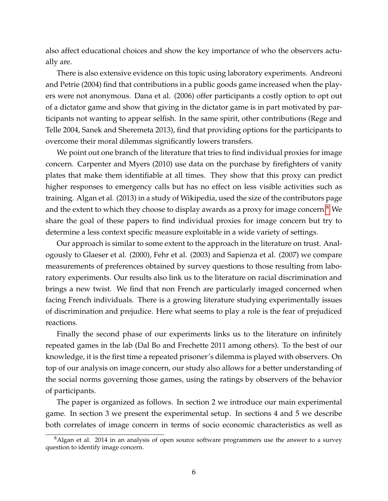also affect educational choices and show the key importance of who the observers actually are.

There is also extensive evidence on this topic using laboratory experiments. Andreoni and Petrie (2004) find that contributions in a public goods game increased when the players were not anonymous. Dana et al. (2006) offer participants a costly option to opt out of a dictator game and show that giving in the dictator game is in part motivated by participants not wanting to appear selfish. In the same spirit, other contributions (Rege and Telle 2004, Sanek and Sheremeta 2013), find that providing options for the participants to overcome their moral dilemmas significantly lowers transfers.

We point out one branch of the literature that tries to find individual proxies for image concern. Carpenter and Myers (2010) use data on the purchase by firefighters of vanity plates that make them identifiable at all times. They show that this proxy can predict higher responses to emergency calls but has no effect on less visible activities such as training. Algan et al. (2013) in a study of Wikipedia, used the size of the contributors page and the extent to which they choose to display awards as a proxy for image concern.<sup>[8](#page-0-0)</sup> We share the goal of these papers to find individual proxies for image concern but try to determine a less context specific measure exploitable in a wide variety of settings.

Our approach is similar to some extent to the approach in the literature on trust. Analogously to Glaeser et al. (2000), Fehr et al. (2003) and Sapienza et al. (2007) we compare measurements of preferences obtained by survey questions to those resulting from laboratory experiments. Our results also link us to the literature on racial discrimination and brings a new twist. We find that non French are particularly imaged concerned when facing French individuals. There is a growing literature studying experimentally issues of discrimination and prejudice. Here what seems to play a role is the fear of prejudiced reactions.

Finally the second phase of our experiments links us to the literature on infinitely repeated games in the lab (Dal Bo and Frechette 2011 among others). To the best of our knowledge, it is the first time a repeated prisoner's dilemma is played with observers. On top of our analysis on image concern, our study also allows for a better understanding of the social norms governing those games, using the ratings by observers of the behavior of participants.

The paper is organized as follows. In section 2 we introduce our main experimental game. In section 3 we present the experimental setup. In sections 4 and 5 we describe both correlates of image concern in terms of socio economic characteristics as well as

<sup>&</sup>lt;sup>8</sup>Algan et al. 2014 in an analysis of open source software programmers use the answer to a survey question to identify image concern.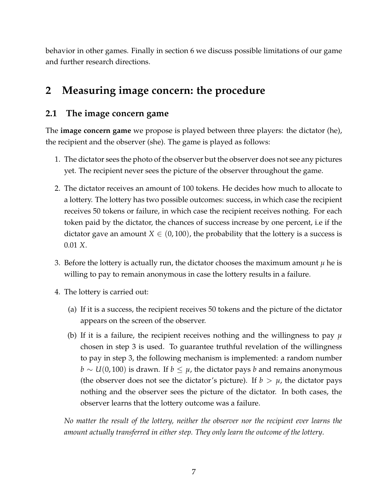behavior in other games. Finally in section 6 we discuss possible limitations of our game and further research directions.

# **2 Measuring image concern: the procedure**

## <span id="page-6-0"></span>**2.1 The image concern game**

The **image concern game** we propose is played between three players: the dictator (he), the recipient and the observer (she). The game is played as follows:

- 1. The dictator sees the photo of the observer but the observer does not see any pictures yet. The recipient never sees the picture of the observer throughout the game.
- 2. The dictator receives an amount of 100 tokens. He decides how much to allocate to a lottery. The lottery has two possible outcomes: success, in which case the recipient receives 50 tokens or failure, in which case the recipient receives nothing. For each token paid by the dictator, the chances of success increase by one percent, i.e if the dictator gave an amount  $X \in (0, 100)$ , the probability that the lottery is a success is 0.01 *X*.
- 3. Before the lottery is actually run, the dictator chooses the maximum amount  $\mu$  he is willing to pay to remain anonymous in case the lottery results in a failure.
- 4. The lottery is carried out:
	- (a) If it is a success, the recipient receives 50 tokens and the picture of the dictator appears on the screen of the observer.
	- (b) If it is a failure, the recipient receives nothing and the willingness to pay *µ* chosen in step 3 is used. To guarantee truthful revelation of the willingness to pay in step 3, the following mechanism is implemented: a random number *b* ∼ *U*(0, 100) is drawn. If *b* ≤ *µ*, the dictator pays *b* and remains anonymous (the observer does not see the dictator's picture). If  $b > \mu$ , the dictator pays nothing and the observer sees the picture of the dictator. In both cases, the observer learns that the lottery outcome was a failure.

*No matter the result of the lottery, neither the observer nor the recipient ever learns the amount actually transferred in either step. They only learn the outcome of the lottery*.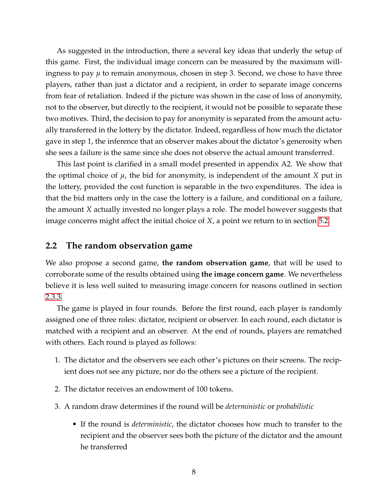As suggested in the introduction, there a several key ideas that underly the setup of this game. First, the individual image concern can be measured by the maximum willingness to pay *µ* to remain anonymous, chosen in step 3. Second, we chose to have three players, rather than just a dictator and a recipient, in order to separate image concerns from fear of retaliation. Indeed if the picture was shown in the case of loss of anonymity, not to the observer, but directly to the recipient, it would not be possible to separate these two motives. Third, the decision to pay for anonymity is separated from the amount actually transferred in the lottery by the dictator. Indeed, regardless of how much the dictator gave in step 1, the inference that an observer makes about the dictator's generosity when she sees a failure is the same since she does not observe the actual amount transferred.

This last point is clarified in a small model presented in appendix A2. We show that the optimal choice of  $\mu$ , the bid for anonymity, is independent of the amount *X* put in the lottery, provided the cost function is separable in the two expenditures. The idea is that the bid matters only in the case the lottery is a failure, and conditional on a failure, the amount *X* actually invested no longer plays a role. The model however suggests that image concerns might affect the initial choice of *X*, a point we return to in section [5.2.](#page-19-0)

### <span id="page-7-0"></span>**2.2 The random observation game**

We also propose a second game, **the random observation game**, that will be used to corroborate some of the results obtained using **the image concern game**. We nevertheless believe it is less well suited to measuring image concern for reasons outlined in section [2.3.3.](#page-12-0)

The game is played in four rounds. Before the first round, each player is randomly assigned one of three roles: dictator, recipient or observer. In each round, each dictator is matched with a recipient and an observer. At the end of rounds, players are rematched with others. Each round is played as follows:

- 1. The dictator and the observers see each other's pictures on their screens. The recipient does not see any picture, nor do the others see a picture of the recipient.
- 2. The dictator receives an endowment of 100 tokens.
- 3. A random draw determines if the round will be *deterministic* or *probabilistic*
	- If the round is *deterministic*, the dictator chooses how much to transfer to the recipient and the observer sees both the picture of the dictator and the amount he transferred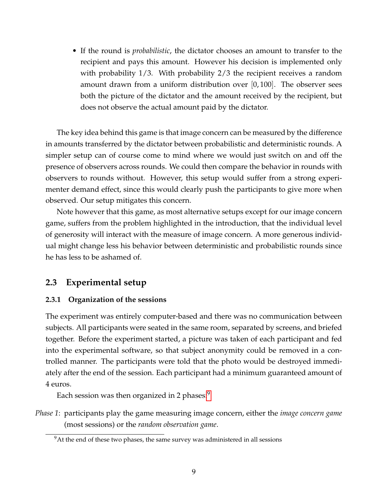• If the round is *probabilistic*, the dictator chooses an amount to transfer to the recipient and pays this amount. However his decision is implemented only with probability 1/3. With probability 2/3 the recipient receives a random amount drawn from a uniform distribution over  $[0, 100]$ . The observer sees both the picture of the dictator and the amount received by the recipient, but does not observe the actual amount paid by the dictator.

The key idea behind this game is that image concern can be measured by the difference in amounts transferred by the dictator between probabilistic and deterministic rounds. A simpler setup can of course come to mind where we would just switch on and off the presence of observers across rounds. We could then compare the behavior in rounds with observers to rounds without. However, this setup would suffer from a strong experimenter demand effect, since this would clearly push the participants to give more when observed. Our setup mitigates this concern.

Note however that this game, as most alternative setups except for our image concern game, suffers from the problem highlighted in the introduction, that the individual level of generosity will interact with the measure of image concern. A more generous individual might change less his behavior between deterministic and probabilistic rounds since he has less to be ashamed of.

## **2.3 Experimental setup**

### **2.3.1 Organization of the sessions**

The experiment was entirely computer-based and there was no communication between subjects. All participants were seated in the same room, separated by screens, and briefed together. Before the experiment started, a picture was taken of each participant and fed into the experimental software, so that subject anonymity could be removed in a controlled manner. The participants were told that the photo would be destroyed immediately after the end of the session. Each participant had a minimum guaranteed amount of 4 euros.

Each session was then organized in 2 phases:<sup>[9](#page-0-0)</sup>

*Phase 1*: participants play the game measuring image concern, either the *image concern game* (most sessions) or the *random observation game*.

 $9$ At the end of these two phases, the same survey was administered in all sessions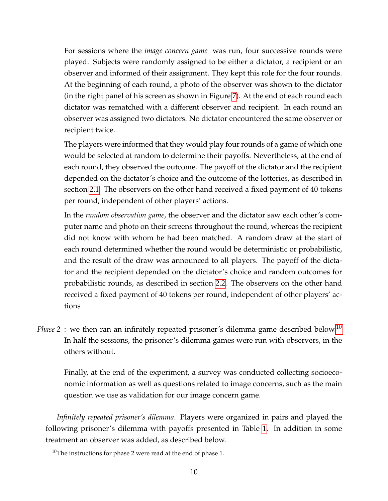For sessions where the *image concern game* was run, four successive rounds were played. Subjects were randomly assigned to be either a dictator, a recipient or an observer and informed of their assignment. They kept this role for the four rounds. At the beginning of each round, a photo of the observer was shown to the dictator (in the right panel of his screen as shown in Figure [7\)](#page-38-0). At the end of each round each dictator was rematched with a different observer and recipient. In each round an observer was assigned two dictators. No dictator encountered the same observer or recipient twice.

The players were informed that they would play four rounds of a game of which one would be selected at random to determine their payoffs. Nevertheless, at the end of each round, they observed the outcome. The payoff of the dictator and the recipient depended on the dictator's choice and the outcome of the lotteries, as described in section [2.1.](#page-6-0) The observers on the other hand received a fixed payment of 40 tokens per round, independent of other players' actions.

In the *random observation game*, the observer and the dictator saw each other's computer name and photo on their screens throughout the round, whereas the recipient did not know with whom he had been matched. A random draw at the start of each round determined whether the round would be deterministic or probabilistic, and the result of the draw was announced to all players. The payoff of the dictator and the recipient depended on the dictator's choice and random outcomes for probabilistic rounds, as described in section [2.2.](#page-7-0) The observers on the other hand received a fixed payment of 40 tokens per round, independent of other players' actions

*Phase 2* : we then ran an infinitely repeated prisoner's dilemma game described below.<sup>[10](#page-0-0)</sup> In half the sessions, the prisoner's dilemma games were run with observers, in the others without.

Finally, at the end of the experiment, a survey was conducted collecting socioeconomic information as well as questions related to image concerns, such as the main question we use as validation for our image concern game.

*Infinitely repeated prisoner's dilemma*. Players were organized in pairs and played the following prisoner's dilemma with payoffs presented in Table [1.](#page-10-0) In addition in some treatment an observer was added, as described below.

 $10$ The instructions for phase 2 were read at the end of phase 1.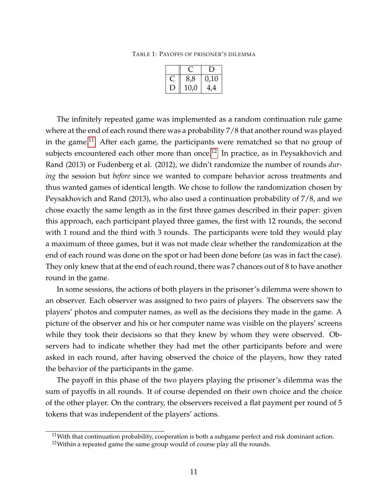TABLE 1: PAYOFFS OF PRISONER'S DILEMMA

<span id="page-10-0"></span>

| 8,8  | 0,10 |
|------|------|
| 10,0 | 4,4  |

The infinitely repeated game was implemented as a random continuation rule game where at the end of each round there was a probability 7/8 that another round was played in the game.<sup>[11](#page-0-0)</sup> After each game, the participants were rematched so that no group of subjects encountered each other more than once.<sup>[12](#page-0-0)</sup> In practice, as in Peysakhovich and Rand (2013) or Fudenberg et al. (2012), we didn't randomize the number of rounds *during* the session but *before* since we wanted to compare behavior across treatments and thus wanted games of identical length. We chose to follow the randomization chosen by Peysakhovich and Rand (2013), who also used a continuation probability of 7/8, and we chose exactly the same length as in the first three games described in their paper: given this approach, each participant played three games, the first with 12 rounds, the second with 1 round and the third with 3 rounds. The participants were told they would play a maximum of three games, but it was not made clear whether the randomization at the end of each round was done on the spot or had been done before (as was in fact the case). They only knew that at the end of each round, there was 7 chances out of 8 to have another round in the game.

In some sessions, the actions of both players in the prisoner's dilemma were shown to an observer. Each observer was assigned to two pairs of players. The observers saw the players' photos and computer names, as well as the decisions they made in the game. A picture of the observer and his or her computer name was visible on the players' screens while they took their decisions so that they knew by whom they were observed. Observers had to indicate whether they had met the other participants before and were asked in each round, after having observed the choice of the players, how they rated the behavior of the participants in the game.

The payoff in this phase of the two players playing the prisoner's dilemma was the sum of payoffs in all rounds. It of course depended on their own choice and the choice of the other player. On the contrary, the observers received a flat payment per round of 5 tokens that was independent of the players' actions.

<sup>&</sup>lt;sup>11</sup>With that continuation probability, cooperation is both a subgame perfect and risk dominant action.

 $12$ Within a repeated game the same group would of course play all the rounds.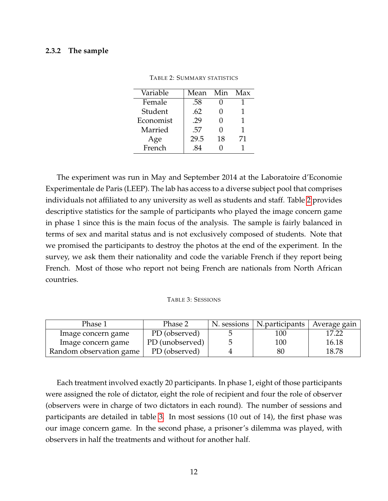#### **2.3.2 The sample**

| Variable  | Mean | Min | Max |
|-----------|------|-----|-----|
| Female    | .58  |     |     |
| Student   | .62  |     |     |
| Economist | .29  |     |     |
| Married   | .57  |     | 1   |
| Age       | 29.5 | 18  | 71  |
| French    | 84   |     |     |

<span id="page-11-0"></span>

| <b>TABLE 2: SUMMARY STATISTICS</b> |
|------------------------------------|
|------------------------------------|

The experiment was run in May and September 2014 at the Laboratoire d'Economie Experimentale de Paris (LEEP). The lab has access to a diverse subject pool that comprises individuals not affiliated to any university as well as students and staff. Table [2](#page-11-0) provides descriptive statistics for the sample of participants who played the image concern game in phase 1 since this is the main focus of the analysis. The sample is fairly balanced in terms of sex and marital status and is not exclusively composed of students. Note that we promised the participants to destroy the photos at the end of the experiment. In the survey, we ask them their nationality and code the variable French if they report being French. Most of those who report not being French are nationals from North African countries.

#### <span id="page-11-1"></span>TABLE 3: SESSIONS

| Phase 1                 | Phase 2         | N. sessions   N. participants | ∣ Average gain ′ |
|-------------------------|-----------------|-------------------------------|------------------|
| Image concern game      | PD (observed)   | 100                           | 17.22            |
| Image concern game      | PD (unobserved) | 100                           | 16.18            |
| Random observation game | PD (observed)   | 80                            | 18.78            |

Each treatment involved exactly 20 participants. In phase 1, eight of those participants were assigned the role of dictator, eight the role of recipient and four the role of observer (observers were in charge of two dictators in each round). The number of sessions and participants are detailed in table [3.](#page-11-1) In most sessions (10 out of 14), the first phase was our image concern game. In the second phase, a prisoner's dilemma was played, with observers in half the treatments and without for another half.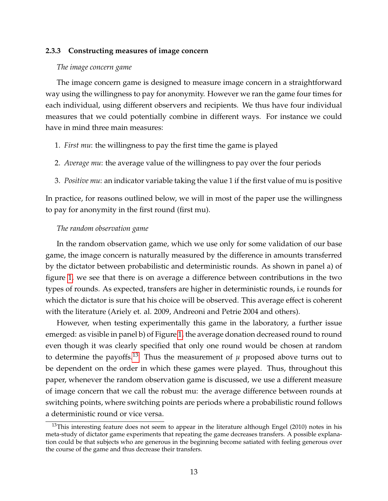#### <span id="page-12-0"></span>**2.3.3 Constructing measures of image concern**

#### *The image concern game*

The image concern game is designed to measure image concern in a straightforward way using the willingness to pay for anonymity. However we ran the game four times for each individual, using different observers and recipients. We thus have four individual measures that we could potentially combine in different ways. For instance we could have in mind three main measures:

- 1. *First mu*: the willingness to pay the first time the game is played
- 2. *Average mu*: the average value of the willingness to pay over the four periods
- 3. *Positive mu*: an indicator variable taking the value 1 if the first value of mu is positive

In practice, for reasons outlined below, we will in most of the paper use the willingness to pay for anonymity in the first round (first mu).

#### *The random observation game*

In the random observation game, which we use only for some validation of our base game, the image concern is naturally measured by the difference in amounts transferred by the dictator between probabilistic and deterministic rounds. As shown in panel a) of figure [1,](#page-13-0) we see that there is on average a difference between contributions in the two types of rounds. As expected, transfers are higher in deterministic rounds, i.e rounds for which the dictator is sure that his choice will be observed. This average effect is coherent with the literature (Ariely et. al. 2009, Andreoni and Petrie 2004 and others).

However, when testing experimentally this game in the laboratory, a further issue emerged: as visible in panel b) of Figure [1,](#page-13-0) the average donation decreased round to round even though it was clearly specified that only one round would be chosen at random to determine the payoffs.<sup>[13](#page-0-0)</sup> Thus the measurement of  $\mu$  proposed above turns out to be dependent on the order in which these games were played. Thus, throughout this paper, whenever the random observation game is discussed, we use a different measure of image concern that we call the robust mu: the average difference between rounds at switching points, where switching points are periods where a probabilistic round follows a deterministic round or vice versa.

 $13$ This interesting feature does not seem to appear in the literature although Engel (2010) notes in his meta-study of dictator game experiments that repeating the game decreases transfers. A possible explanation could be that subjects who are generous in the beginning become satiated with feeling generous over the course of the game and thus decrease their transfers.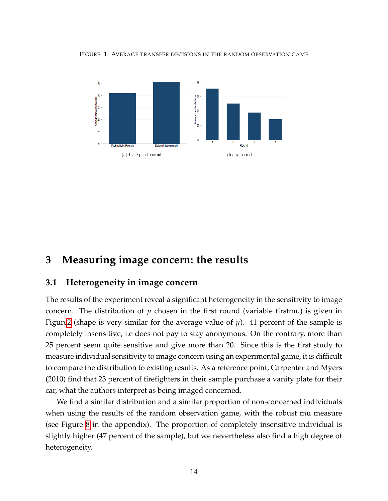<span id="page-13-0"></span>FIGURE 1: AVERAGE TRANSFER DECISIONS IN THE RANDOM OBSERVATION GAME



# **3 Measuring image concern: the results**

## **3.1 Heterogeneity in image concern**

The results of the experiment reveal a significant heterogeneity in the sensitivity to image concern. The distribution of  $\mu$  chosen in the first round (variable firstmu) is given in Figur[e2](#page-14-0) (shape is very similar for the average value of  $\mu$ ). 41 percent of the sample is completely insensitive, i.e does not pay to stay anonymous. On the contrary, more than 25 percent seem quite sensitive and give more than 20. Since this is the first study to measure individual sensitivity to image concern using an experimental game, it is difficult to compare the distribution to existing results. As a reference point, Carpenter and Myers (2010) find that 23 percent of firefighters in their sample purchase a vanity plate for their car, what the authors interpret as being imaged concerned.

We find a similar distribution and a similar proportion of non-concerned individuals when using the results of the random observation game, with the robust mu measure (see Figure [8](#page-38-1) in the appendix). The proportion of completely insensitive individual is slightly higher (47 percent of the sample), but we nevertheless also find a high degree of heterogeneity.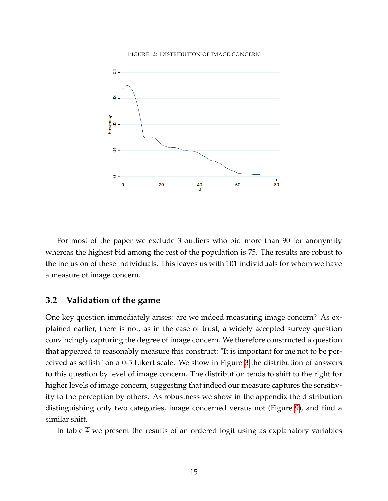

#### <span id="page-14-0"></span>FIGURE 2: DISTRIBUTION OF IMAGE CONCERN

For most of the paper we exclude 3 outliers who bid more than 90 for anonymity whereas the highest bid among the rest of the population is 75. The results are robust to the inclusion of these individuals. This leaves us with 101 individuals for whom we have a measure of image concern.

## **3.2 Validation of the game**

One key question immediately arises: are we indeed measuring image concern? As explained earlier, there is not, as in the case of trust, a widely accepted survey question convincingly capturing the degree of image concern. We therefore constructed a question that appeared to reasonably measure this construct: "It is important for me not to be perceived as selfish" on a 0-5 Likert scale. We show in Figure [3](#page-15-0) the distribution of answers to this question by level of image concern. The distribution tends to shift to the right for higher levels of image concern, suggesting that indeed our measure captures the sensitivity to the perception by others. As robustness we show in the appendix the distribution distinguishing only two categories, image concerned versus not (Figure [9\)](#page-39-0), and find a similar shift.

In table [4](#page-25-0) we present the results of an ordered logit using as explanatory variables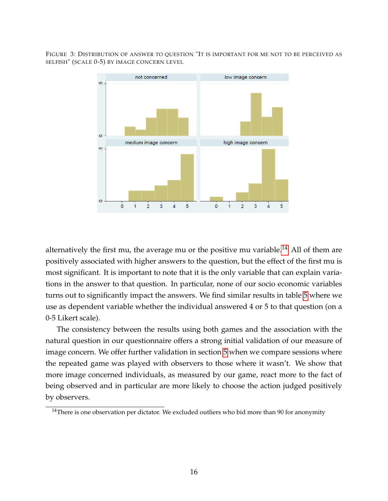FIGURE 3: DISTRIBUTION OF ANSWER TO QUESTION "IT IS IMPORTANT FOR ME NOT TO BE PERCEIVED AS SELFISH" (SCALE 0-5) BY IMAGE CONCERN LEVEL

<span id="page-15-0"></span>

alternatively the first mu, the average mu or the positive mu variable.<sup>[14](#page-0-0)</sup> All of them are positively associated with higher answers to the question, but the effect of the first mu is most significant. It is important to note that it is the only variable that can explain variations in the answer to that question. In particular, none of our socio economic variables turns out to significantly impact the answers. We find similar results in table [5](#page-26-0) where we use as dependent variable whether the individual answered 4 or 5 to that question (on a 0-5 Likert scale).

The consistency between the results using both games and the association with the natural question in our questionnaire offers a strong initial validation of our measure of image concern. We offer further validation in section [5](#page-18-0) when we compare sessions where the repeated game was played with observers to those where it wasn't. We show that more image concerned individuals, as measured by our game, react more to the fact of being observed and in particular are more likely to choose the action judged positively by observers.

<sup>&</sup>lt;sup>14</sup>There is one observation per dictator. We excluded outliers who bid more than 90 for anonymity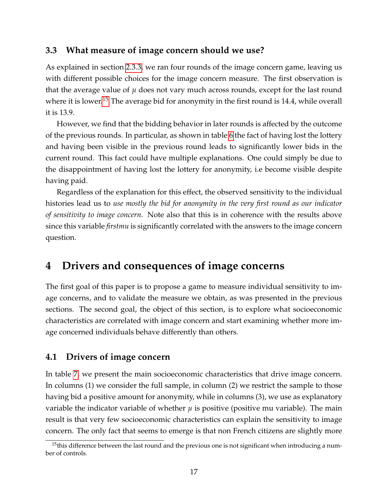## **3.3 What measure of image concern should we use?**

As explained in section [2.3.3,](#page-12-0) we ran four rounds of the image concern game, leaving us with different possible choices for the image concern measure. The first observation is that the average value of  $\mu$  does not vary much across rounds, except for the last round where it is lower.<sup>[15](#page-0-0)</sup> The average bid for anonymity in the first round is 14.4, while overall it is 13.9.

However, we find that the bidding behavior in later rounds is affected by the outcome of the previous rounds. In particular, as shown in table [6](#page-27-0) the fact of having lost the lottery and having been visible in the previous round leads to significantly lower bids in the current round. This fact could have multiple explanations. One could simply be due to the disappointment of having lost the lottery for anonymity, i.e become visible despite having paid.

Regardless of the explanation for this effect, the observed sensitivity to the individual histories lead us to *use mostly the bid for anonymity in the very first round as our indicator of sensitivity to image concern*. Note also that this is in coherence with the results above since this variable *firstmu* is significantly correlated with the answers to the image concern question.

# **4 Drivers and consequences of image concerns**

The first goal of this paper is to propose a game to measure individual sensitivity to image concerns, and to validate the measure we obtain, as was presented in the previous sections. The second goal, the object of this section, is to explore what socioeconomic characteristics are correlated with image concern and start examining whether more image concerned individuals behave differently than others.

## **4.1 Drivers of image concern**

In table [7,](#page-28-0) we present the main socioeconomic characteristics that drive image concern. In columns (1) we consider the full sample, in column (2) we restrict the sample to those having bid a positive amount for anonymity, while in columns (3), we use as explanatory variable the indicator variable of whether  $\mu$  is positive (positive mu variable). The main result is that very few socioeconomic characteristics can explain the sensitivity to image concern. The only fact that seems to emerge is that non French citizens are slightly more

 $15$ this difference between the last round and the previous one is not significant when introducing a number of controls.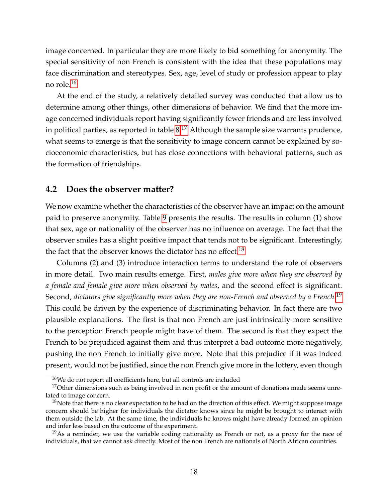image concerned. In particular they are more likely to bid something for anonymity. The special sensitivity of non French is consistent with the idea that these populations may face discrimination and stereotypes. Sex, age, level of study or profession appear to play no role.[16](#page-0-0)

At the end of the study, a relatively detailed survey was conducted that allow us to determine among other things, other dimensions of behavior. We find that the more image concerned individuals report having significantly fewer friends and are less involved in political parties, as reported in table  $8^{17}$  $8^{17}$  $8^{17}$  Although the sample size warrants prudence, what seems to emerge is that the sensitivity to image concern cannot be explained by socioeconomic characteristics, but has close connections with behavioral patterns, such as the formation of friendships.

### **4.2 Does the observer matter?**

We now examine whether the characteristics of the observer have an impact on the amount paid to preserve anonymity. Table [9](#page-30-0) presents the results. The results in column (1) show that sex, age or nationality of the observer has no influence on average. The fact that the observer smiles has a slight positive impact that tends not to be significant. Interestingly, the fact that the observer knows the dictator has no effect.<sup>[18](#page-0-0)</sup>

Columns (2) and (3) introduce interaction terms to understand the role of observers in more detail. Two main results emerge. First, *males give more when they are observed by a female and female give more when observed by males*, and the second effect is significant. Second, *dictators give significantly more when they are non-French and observed by a French*. [19](#page-0-0) This could be driven by the experience of discriminating behavior. In fact there are two plausible explanations. The first is that non French are just intrinsically more sensitive to the perception French people might have of them. The second is that they expect the French to be prejudiced against them and thus interpret a bad outcome more negatively, pushing the non French to initially give more. Note that this prejudice if it was indeed present, would not be justified, since the non French give more in the lottery, even though

<sup>&</sup>lt;sup>16</sup>We do not report all coefficients here, but all controls are included

<sup>&</sup>lt;sup>17</sup>Other dimensions such as being involved in non profit or the amount of donations made seems unrelated to image concern.

 $18$ Note that there is no clear expectation to be had on the direction of this effect. We might suppose image concern should be higher for individuals the dictator knows since he might be brought to interact with them outside the lab. At the same time, the individuals he knows might have already formed an opinion and infer less based on the outcome of the experiment.

 $19\text{As}$  a reminder, we use the variable coding nationality as French or not, as a proxy for the race of individuals, that we cannot ask directly. Most of the non French are nationals of North African countries.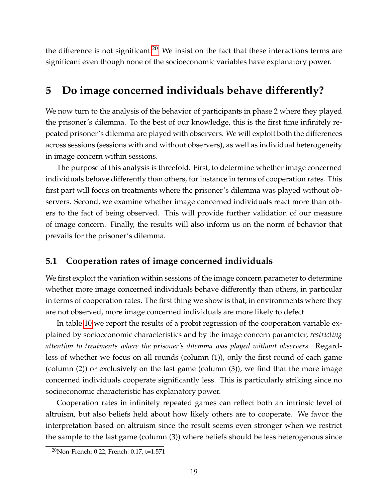the difference is not significant.<sup>[20](#page-0-0)</sup> We insist on the fact that these interactions terms are significant even though none of the socioeconomic variables have explanatory power.

# <span id="page-18-0"></span>**5 Do image concerned individuals behave differently?**

We now turn to the analysis of the behavior of participants in phase 2 where they played the prisoner's dilemma. To the best of our knowledge, this is the first time infinitely repeated prisoner's dilemma are played with observers. We will exploit both the differences across sessions (sessions with and without observers), as well as individual heterogeneity in image concern within sessions.

The purpose of this analysis is threefold. First, to determine whether image concerned individuals behave differently than others, for instance in terms of cooperation rates. This first part will focus on treatments where the prisoner's dilemma was played without observers. Second, we examine whether image concerned individuals react more than others to the fact of being observed. This will provide further validation of our measure of image concern. Finally, the results will also inform us on the norm of behavior that prevails for the prisoner's dilemma.

## **5.1 Cooperation rates of image concerned individuals**

We first exploit the variation within sessions of the image concern parameter to determine whether more image concerned individuals behave differently than others, in particular in terms of cooperation rates. The first thing we show is that, in environments where they are not observed, more image concerned individuals are more likely to defect.

In table [10](#page-31-0) we report the results of a probit regression of the cooperation variable explained by socioeconomic characteristics and by the image concern parameter, *restricting attention to treatments where the prisoner's dilemma was played without observers*. Regardless of whether we focus on all rounds (column (1)), only the first round of each game (column (2)) or exclusively on the last game (column (3)), we find that the more image concerned individuals cooperate significantly less. This is particularly striking since no socioeconomic characteristic has explanatory power.

Cooperation rates in infinitely repeated games can reflect both an intrinsic level of altruism, but also beliefs held about how likely others are to cooperate. We favor the interpretation based on altruism since the result seems even stronger when we restrict the sample to the last game (column (3)) where beliefs should be less heterogenous since

<sup>20</sup>Non-French: 0.22, French: 0.17, t=1.571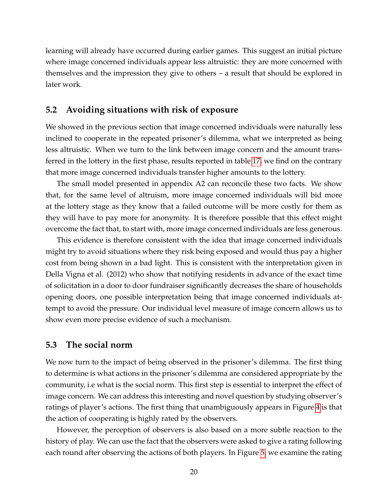learning will already have occurred during earlier games. This suggest an initial picture where image concerned individuals appear less altruistic: they are more concerned with themselves and the impression they give to others – a result that should be explored in later work.

## <span id="page-19-0"></span>**5.2 Avoiding situations with risk of exposure**

We showed in the previous section that image concerned individuals were naturally less inclined to cooperate in the repeated prisoner's dilemma, what we interpreted as being less altruistic. When we turn to the link between image concern and the amount transferred in the lottery in the first phase, results reported in table [17,](#page-37-0) we find on the contrary that more image concerned individuals transfer higher amounts to the lottery.

The small model presented in appendix A2 can reconcile these two facts. We show that, for the same level of altruism, more image concerned individuals will bid more at the lottery stage as they know that a failed outcome will be more costly for them as they will have to pay more for anonymity. It is therefore possible that this effect might overcome the fact that, to start with, more image concerned individuals are less generous.

This evidence is therefore consistent with the idea that image concerned individuals might try to avoid situations where they risk being exposed and would thus pay a higher cost from being shown in a bad light. This is consistent with the interpretation given in Della Vigna et al. (2012) who show that notifying residents in advance of the exact time of solicitation in a door to door fundraiser significantly decreases the share of households opening doors, one possible interpretation being that image concerned individuals attempt to avoid the pressure. Our individual level measure of image concern allows us to show even more precise evidence of such a mechanism.

### **5.3 The social norm**

We now turn to the impact of being observed in the prisoner's dilemma. The first thing to determine is what actions in the prisoner's dilemma are considered appropriate by the community, i.e what is the social norm. This first step is essential to interpret the effect of image concern. We can address this interesting and novel question by studying observer's ratings of player's actions. The first thing that unambiguously appears in Figure [4](#page-20-0) is that the action of cooperating is highly rated by the observers.

However, the perception of observers is also based on a more subtle reaction to the history of play. We can use the fact that the observers were asked to give a rating following each round after observing the actions of both players. In Figure [5,](#page-21-0) we examine the rating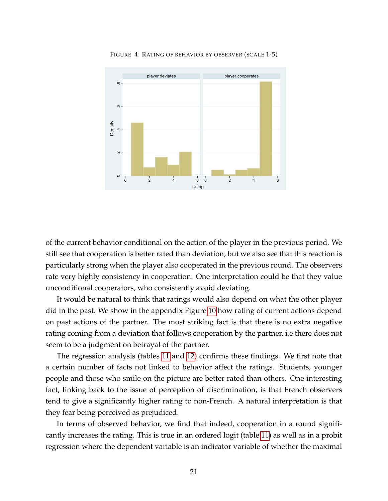

<span id="page-20-0"></span>FIGURE 4: RATING OF BEHAVIOR BY OBSERVER (SCALE 1-5)

of the current behavior conditional on the action of the player in the previous period. We still see that cooperation is better rated than deviation, but we also see that this reaction is particularly strong when the player also cooperated in the previous round. The observers rate very highly consistency in cooperation. One interpretation could be that they value unconditional cooperators, who consistently avoid deviating.

It would be natural to think that ratings would also depend on what the other player did in the past. We show in the appendix Figure [10](#page-39-1) how rating of current actions depend on past actions of the partner. The most striking fact is that there is no extra negative rating coming from a deviation that follows cooperation by the partner, i.e there does not seem to be a judgment on betrayal of the partner.

The regression analysis (tables [11](#page-32-0) and [12\)](#page-33-0) confirms these findings. We first note that a certain number of facts not linked to behavior affect the ratings. Students, younger people and those who smile on the picture are better rated than others. One interesting fact, linking back to the issue of perception of discrimination, is that French observers tend to give a significantly higher rating to non-French. A natural interpretation is that they fear being perceived as prejudiced.

In terms of observed behavior, we find that indeed, cooperation in a round significantly increases the rating. This is true in an ordered logit (table [11\)](#page-32-0) as well as in a probit regression where the dependent variable is an indicator variable of whether the maximal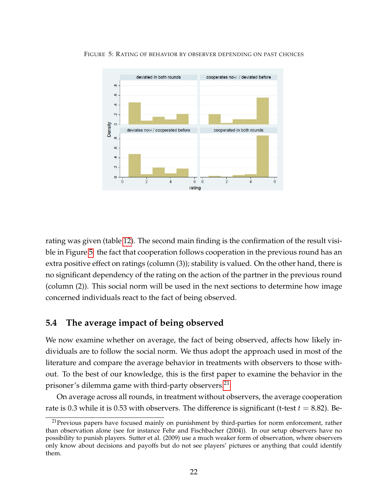<span id="page-21-0"></span>

FIGURE 5: RATING OF BEHAVIOR BY OBSERVER DEPENDING ON PAST CHOICES

rating was given (table [12\)](#page-33-0). The second main finding is the confirmation of the result visible in Figure [5:](#page-21-0) the fact that cooperation follows cooperation in the previous round has an extra positive effect on ratings (column (3)); stability is valued. On the other hand, there is no significant dependency of the rating on the action of the partner in the previous round (column (2)). This social norm will be used in the next sections to determine how image concerned individuals react to the fact of being observed.

## **5.4 The average impact of being observed**

We now examine whether on average, the fact of being observed, affects how likely individuals are to follow the social norm. We thus adopt the approach used in most of the literature and compare the average behavior in treatments with observers to those without. To the best of our knowledge, this is the first paper to examine the behavior in the prisoner's dilemma game with third-party observers.<sup>[21](#page-0-0)</sup>

On average across all rounds, in treatment without observers, the average cooperation rate is 0.3 while it is 0.53 with observers. The difference is significant (t-test  $t = 8.82$ ). Be-

<sup>&</sup>lt;sup>21</sup>Previous papers have focused mainly on punishment by third-parties for norm enforcement, rather than observation alone (see for instance Fehr and Fischbacher (2004)). In our setup observers have no possibility to punish players. Sutter et al. (2009) use a much weaker form of observation, where observers only know about decisions and payoffs but do not see players' pictures or anything that could identify them.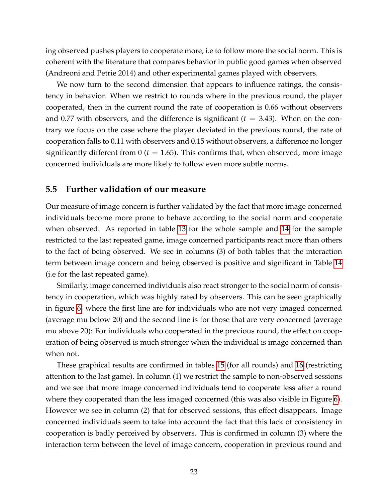ing observed pushes players to cooperate more, i.e to follow more the social norm. This is coherent with the literature that compares behavior in public good games when observed (Andreoni and Petrie 2014) and other experimental games played with observers.

We now turn to the second dimension that appears to influence ratings, the consistency in behavior. When we restrict to rounds where in the previous round, the player cooperated, then in the current round the rate of cooperation is 0.66 without observers and 0.77 with observers, and the difference is significant  $(t = 3.43)$ . When on the contrary we focus on the case where the player deviated in the previous round, the rate of cooperation falls to 0.11 with observers and 0.15 without observers, a difference no longer significantly different from  $0$  ( $t = 1.65$ ). This confirms that, when observed, more image concerned individuals are more likely to follow even more subtle norms.

### **5.5 Further validation of our measure**

Our measure of image concern is further validated by the fact that more image concerned individuals become more prone to behave according to the social norm and cooperate when observed. As reported in table [13](#page-34-0) for the whole sample and [14](#page-34-1) for the sample restricted to the last repeated game, image concerned participants react more than others to the fact of being observed. We see in columns (3) of both tables that the interaction term between image concern and being observed is positive and significant in Table [14](#page-34-1) (i.e for the last repeated game).

Similarly, image concerned individuals also react stronger to the social norm of consistency in cooperation, which was highly rated by observers. This can be seen graphically in figure [6,](#page-23-0) where the first line are for individuals who are not very imaged concerned (average mu below 20) and the second line is for those that are very concerned (average mu above 20): For individuals who cooperated in the previous round, the effect on cooperation of being observed is much stronger when the individual is image concerned than when not.

These graphical results are confirmed in tables [15](#page-35-0) (for all rounds) and [16](#page-36-0) (restricting attention to the last game). In column (1) we restrict the sample to non-observed sessions and we see that more image concerned individuals tend to cooperate less after a round where they cooperated than the less imaged concerned (this was also visible in Figure [6\)](#page-23-0). However we see in column (2) that for observed sessions, this effect disappears. Image concerned individuals seem to take into account the fact that this lack of consistency in cooperation is badly perceived by observers. This is confirmed in column (3) where the interaction term between the level of image concern, cooperation in previous round and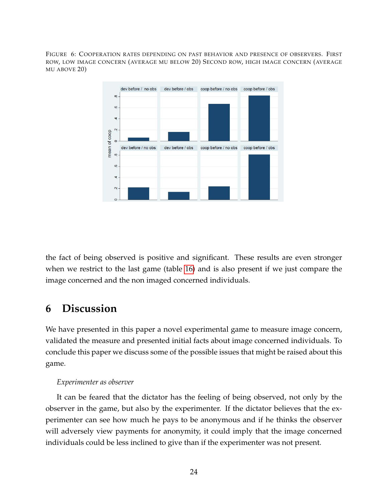FIGURE 6: COOPERATION RATES DEPENDING ON PAST BEHAVIOR AND PRESENCE OF OBSERVERS. FIRST ROW, LOW IMAGE CONCERN (AVERAGE MU BELOW 20) SECOND ROW, HIGH IMAGE CONCERN (AVERAGE MU ABOVE 20)

<span id="page-23-0"></span>

the fact of being observed is positive and significant. These results are even stronger when we restrict to the last game (table [16\)](#page-36-0) and is also present if we just compare the image concerned and the non imaged concerned individuals.

# **6 Discussion**

We have presented in this paper a novel experimental game to measure image concern, validated the measure and presented initial facts about image concerned individuals. To conclude this paper we discuss some of the possible issues that might be raised about this game.

## *Experimenter as observer*

It can be feared that the dictator has the feeling of being observed, not only by the observer in the game, but also by the experimenter. If the dictator believes that the experimenter can see how much he pays to be anonymous and if he thinks the observer will adversely view payments for anonymity, it could imply that the image concerned individuals could be less inclined to give than if the experimenter was not present.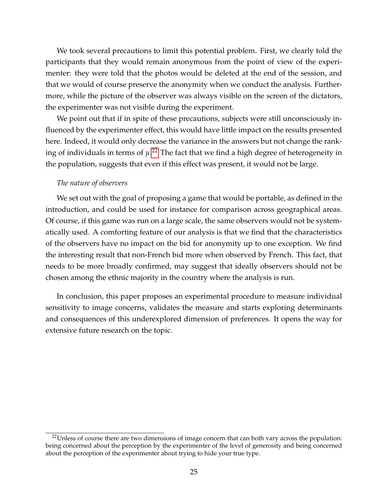We took several precautions to limit this potential problem. First, we clearly told the participants that they would remain anonymous from the point of view of the experimenter: they were told that the photos would be deleted at the end of the session, and that we would of course preserve the anonymity when we conduct the analysis. Furthermore, while the picture of the observer was always visible on the screen of the dictators, the experimenter was not visible during the experiment.

We point out that if in spite of these precautions, subjects were still unconsciously influenced by the experimenter effect, this would have little impact on the results presented here. Indeed, it would only decrease the variance in the answers but not change the ranking of individuals in terms of *µ*. [22](#page-0-0) The fact that we find a high degree of heterogeneity in the population, suggests that even if this effect was present, it would not be large.

#### *The nature of observers*

We set out with the goal of proposing a game that would be portable, as defined in the introduction, and could be used for instance for comparison across geographical areas. Of course, if this game was run on a large scale, the same observers would not be systematically used. A comforting feature of our analysis is that we find that the characteristics of the observers have no impact on the bid for anonymity up to one exception. We find the interesting result that non-French bid more when observed by French. This fact, that needs to be more broadly confirmed, may suggest that ideally observers should not be chosen among the ethnic majority in the country where the analysis is run.

In conclusion, this paper proposes an experimental procedure to measure individual sensitivity to image concerns, validates the measure and starts exploring determinants and consequences of this underexplored dimension of preferences. It opens the way for extensive future research on the topic.

<sup>&</sup>lt;sup>22</sup>Unless of course there are two dimensions of image concern that can both vary across the population: being concerned about the perception by the experimenter of the level of generosity and being concerned about the perception of the experimenter about trying to hide your true type.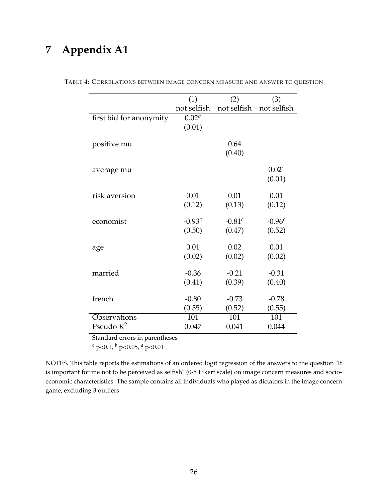# **7 Appendix A1**

<span id="page-25-0"></span>

|                         | (1)         | (2)         | (3)               |
|-------------------------|-------------|-------------|-------------------|
|                         | not selfish | not selfish | not selfish       |
| first bid for anonymity | $0.02^{b}$  |             |                   |
|                         | (0.01)      |             |                   |
|                         |             |             |                   |
| positive mu             |             | 0.64        |                   |
|                         |             | (0.40)      |                   |
|                         |             |             |                   |
| average mu              |             |             | 0.02 <sup>c</sup> |
|                         |             |             | (0.01)            |
|                         |             |             |                   |
| risk aversion           | 0.01        | 0.01        | 0.01              |
|                         | (0.12)      | (0.13)      | (0.12)            |
| economist               | $-0.93^{c}$ | $-0.81^{c}$ | $-0.96c$          |
|                         |             |             |                   |
|                         | (0.50)      | (0.47)      | (0.52)            |
| age                     | 0.01        | 0.02        | 0.01              |
|                         | (0.02)      | (0.02)      | (0.02)            |
|                         |             |             |                   |
| married                 | $-0.36$     | $-0.21$     | $-0.31$           |
|                         | (0.41)      | (0.39)      | (0.40)            |
|                         |             |             |                   |
| french                  | $-0.80$     | $-0.73$     | $-0.78$           |
|                         | (0.55)      | (0.52)      | (0.55)            |
| Observations            | 101         | 101         | 101               |
| Pseudo $R^2$            | 0.047       | 0.041       | 0.044             |
|                         |             |             |                   |

TABLE 4: CORRELATIONS BETWEEN IMAGE CONCERN MEASURE AND ANSWER TO QUESTION

Standard errors in parentheses

*<sup>c</sup>* p<0.1, *<sup>b</sup>* p<0.05, *<sup>a</sup>* p<0.01

NOTES. This table reports the estimations of an ordered logit regression of the answers to the question "It is important for me not to be perceived as selfish" (0-5 Likert scale) on image concern measures and socioeconomic characteristics. The sample contains all individuals who played as dictators in the image concern game, excluding 3 outliers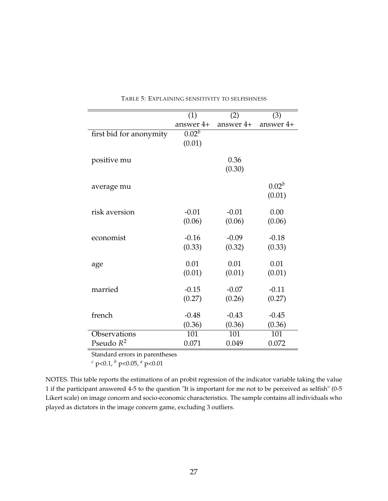|                         | (1)        | (2)       | (3)         |
|-------------------------|------------|-----------|-------------|
|                         | answer 4+  | answer 4+ | answer $4+$ |
| first bid for anonymity | $0.02^{b}$ |           |             |
|                         | (0.01)     |           |             |
|                         |            |           |             |
| positive mu             |            | 0.36      |             |
|                         |            | (0.30)    |             |
|                         |            |           | $0.02^{b}$  |
| average mu              |            |           | (0.01)      |
|                         |            |           |             |
| risk aversion           | $-0.01$    | $-0.01$   | 0.00        |
|                         | (0.06)     | (0.06)    | (0.06)      |
|                         |            |           |             |
| economist               | $-0.16$    | $-0.09$   | $-0.18$     |
|                         | (0.33)     | (0.32)    | (0.33)      |
|                         |            |           |             |
| age                     | 0.01       | 0.01      | 0.01        |
|                         | (0.01)     | (0.01)    | (0.01)      |
| married                 | $-0.15$    | $-0.07$   | $-0.11$     |
|                         | (0.27)     | (0.26)    | (0.27)      |
|                         |            |           |             |
| french                  | $-0.48$    | $-0.43$   | $-0.45$     |
|                         | (0.36)     | (0.36)    | (0.36)      |
| Observations            | 101        | 101       | 101         |
| Pseudo $R^2$            | 0.071      | 0.049     | 0.072       |

<span id="page-26-0"></span>TABLE 5: EXPLAINING SENSITIVITY TO SELFISHNESS

Standard errors in parentheses

*<sup>c</sup>* p<0.1, *<sup>b</sup>* p<0.05, *<sup>a</sup>* p<0.01

NOTES. This table reports the estimations of an probit regression of the indicator variable taking the value 1 if the participant answered 4-5 to the question "It is important for me not to be perceived as selfish" (0-5 Likert scale) on image concern and socio-economic characteristics. The sample contains all individuals who played as dictators in the image concern game, excluding 3 outliers.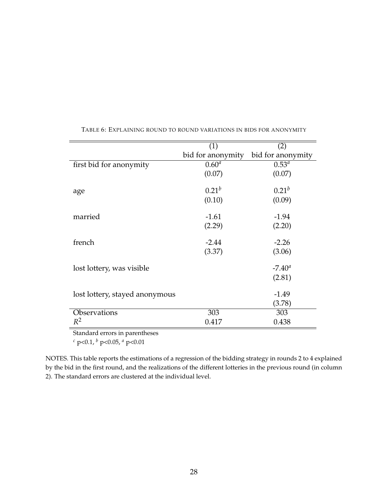|                                | (1)               | (2)               |
|--------------------------------|-------------------|-------------------|
|                                | bid for anonymity | bid for anonymity |
| first bid for anonymity        | $0.60^{a}$        | $0.53^{a}$        |
|                                | (0.07)            | (0.07)            |
| age                            | $0.21^{b}$        | $0.21^{b}$        |
|                                | (0.10)            | (0.09)            |
| married                        | $-1.61$           | $-1.94$           |
|                                | (2.29)            | (2.20)            |
| french                         | $-2.44$           | $-2.26$           |
|                                | (3.37)            | (3.06)            |
| lost lottery, was visible      |                   | $-7.40^{\circ}$   |
|                                |                   | (2.81)            |
| lost lottery, stayed anonymous |                   | $-1.49$           |
|                                |                   | (3.78)            |
| Observations                   | 303               | 303               |
| $R^2$                          | 0.417             | 0.438             |

<span id="page-27-0"></span>TABLE 6: EXPLAINING ROUND TO ROUND VARIATIONS IN BIDS FOR ANONYMITY

Standard errors in parentheses

*<sup>c</sup>* p<0.1, *<sup>b</sup>* p<0.05, *<sup>a</sup>* p<0.01

NOTES. This table reports the estimations of a regression of the bidding strategy in rounds 2 to 4 explained by the bid in the first round, and the realizations of the different lotteries in the previous round (in column 2). The standard errors are clustered at the individual level.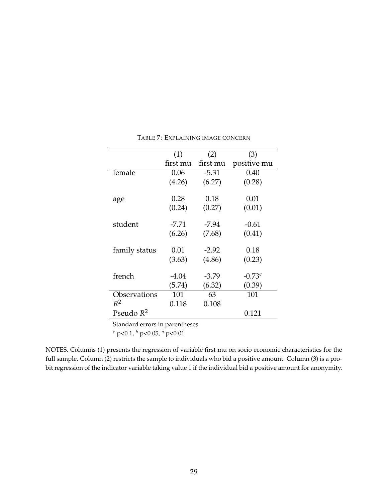|               | (1)      | (2)      | (3)         |
|---------------|----------|----------|-------------|
|               | first mu | first mu | positive mu |
| female        | 0.06     | $-5.31$  | 0.40        |
|               | (4.26)   | (6.27)   | (0.28)      |
|               |          |          |             |
| age           | 0.28     | 0.18     | 0.01        |
|               | (0.24)   | (0.27)   | (0.01)      |
| student       | -7.71    | $-7.94$  | $-0.61$     |
|               | (6.26)   | (7.68)   | (0.41)      |
|               |          |          |             |
| family status | 0.01     | $-2.92$  | 0.18        |
|               | (3.63)   | (4.86)   | (0.23)      |
| french        | -4.04    | $-3.79$  | $-0.73c$    |
|               |          |          |             |
|               | (5.74)   | (6.32)   | (0.39)      |
| Observations  | 101      | 63       | 101         |
| $R^2$         | 0.118    | 0.108    |             |
| Pseudo $R^2$  |          |          | 0.121       |

<span id="page-28-0"></span>TABLE 7: EXPLAINING IMAGE CONCERN

*<sup>c</sup>* p<0.1, *<sup>b</sup>* p<0.05, *<sup>a</sup>* p<0.01

NOTES. Columns (1) presents the regression of variable first mu on socio economic characteristics for the full sample. Column (2) restricts the sample to individuals who bid a positive amount. Column (3) is a probit regression of the indicator variable taking value 1 if the individual bid a positive amount for anonymity.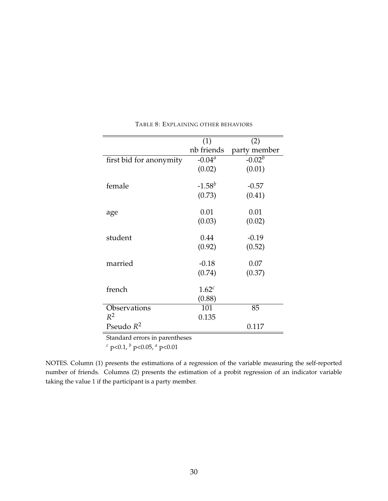|                                | (1)        | (2)          |
|--------------------------------|------------|--------------|
|                                | nb friends | party member |
| first bid for anonymity        | $-0.04a$   | $-0.02^{b}$  |
|                                | (0.02)     | (0.01)       |
|                                |            |              |
| female                         | $-1.58^b$  | $-0.57$      |
|                                | (0.73)     | (0.41)       |
|                                |            |              |
| age                            | 0.01       | 0.01         |
|                                | (0.03)     | (0.02)       |
| student                        | 0.44       |              |
|                                |            | $-0.19$      |
|                                | (0.92)     | (0.52)       |
| married                        | $-0.18$    | 0.07         |
|                                | (0.74)     | (0.37)       |
|                                |            |              |
| french                         | $1.62^c$   |              |
|                                | (0.88)     |              |
| Observations                   | 101        | 85           |
| $R^2$                          | 0.135      |              |
| Pseudo $R^2$                   |            | 0.117        |
| Standard errors in parentheses |            |              |

<span id="page-29-0"></span>TABLE 8: EXPLAINING OTHER BEHAVIORS

*<sup>c</sup>* p<0.1, *<sup>b</sup>* p<0.05, *<sup>a</sup>* p<0.01

NOTES. Column (1) presents the estimations of a regression of the variable measuring the self-reported number of friends. Columns (2) presents the estimation of a probit regression of an indicator variable taking the value 1 if the participant is a party member.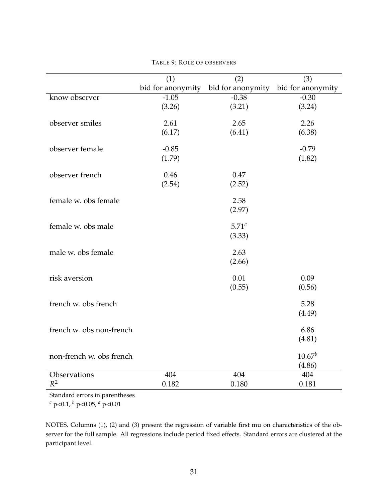|                          | (1)               | $\overline{(2)}$  | (3)               |
|--------------------------|-------------------|-------------------|-------------------|
|                          | bid for anonymity | bid for anonymity | bid for anonymity |
| know observer            | $-1.05$           | $-0.38$           | $-0.30$           |
|                          | (3.26)            | (3.21)            | (3.24)            |
|                          |                   |                   |                   |
| observer smiles          | 2.61              | 2.65              | 2.26              |
|                          | (6.17)            | (6.41)            | (6.38)            |
| observer female          | $-0.85$           |                   | $-0.79$           |
|                          | (1.79)            |                   | (1.82)            |
|                          |                   |                   |                   |
| observer french          | 0.46              | 0.47              |                   |
|                          | (2.54)            | (2.52)            |                   |
| female w. obs female     |                   | 2.58              |                   |
|                          |                   | (2.97)            |                   |
|                          |                   |                   |                   |
| female w. obs male       |                   | 5.71 <sup>c</sup> |                   |
|                          |                   | (3.33)            |                   |
|                          |                   |                   |                   |
| male w. obs female       |                   | 2.63              |                   |
|                          |                   | (2.66)            |                   |
| risk aversion            |                   | 0.01              | 0.09              |
|                          |                   | (0.55)            | (0.56)            |
|                          |                   |                   |                   |
| french w. obs french     |                   |                   | 5.28              |
|                          |                   |                   | (4.49)            |
| french w. obs non-french |                   |                   | 6.86              |
|                          |                   |                   | (4.81)            |
|                          |                   |                   |                   |
| non-french w. obs french |                   |                   | $10.67^b$         |
|                          |                   |                   | (4.86)            |
| Observations             | 404               | 404               | 404               |
| $R^2$                    | 0.182             | 0.180             | 0.181             |

<span id="page-30-0"></span>TABLE 9: ROLE OF OBSERVERS

*<sup>c</sup>* p<0.1, *<sup>b</sup>* p<0.05, *<sup>a</sup>* p<0.01

NOTES. Columns (1), (2) and (3) present the regression of variable first mu on characteristics of the observer for the full sample. All regressions include period fixed effects. Standard errors are clustered at the participant level.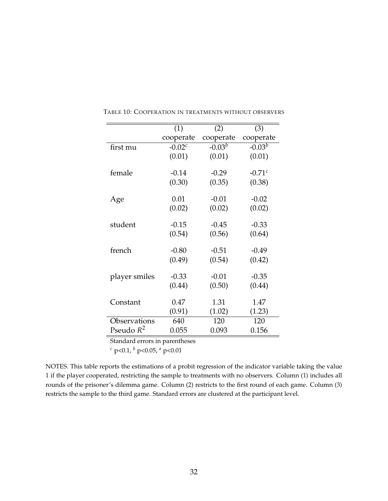|               | (1)       | (2)       | (3)         |
|---------------|-----------|-----------|-------------|
|               | cooperate | cooperate | cooperate   |
| first mu      | $-0.02c$  | $-0.03^b$ | $-0.03^b$   |
|               | (0.01)    | (0.01)    | (0.01)      |
| female        | $-0.14$   | $-0.29$   | $-0.71^{c}$ |
|               | (0.30)    | (0.35)    | (0.38)      |
| Age           | 0.01      | $-0.01$   | $-0.02$     |
|               | (0.02)    | (0.02)    | (0.02)      |
| student       | $-0.15$   | $-0.45$   | $-0.33$     |
|               | (0.54)    | (0.56)    | (0.64)      |
| french        | $-0.80$   | $-0.51$   | $-0.49$     |
|               | (0.49)    | (0.54)    | (0.42)      |
| player smiles | $-0.33$   | $-0.01$   | $-0.35$     |
|               | (0.44)    | (0.50)    | (0.44)      |
| Constant      | 0.47      | 1.31      | 1.47        |
|               | (0.91)    | (1.02)    | (1.23)      |
| Observations  | 640       | 120       | 120         |
| Pseudo $R^2$  | 0.055     | 0.093     | 0.156       |

<span id="page-31-0"></span>TABLE 10: COOPERATION IN TREATMENTS WITHOUT OBSERVERS

*<sup>c</sup>* p<0.1, *<sup>b</sup>* p<0.05, *<sup>a</sup>* p<0.01

NOTES. This table reports the estimations of a probit regression of the indicator variable taking the value 1 if the player cooperated, restricting the sample to treatments with no observers. Column (1) includes all rounds of the prisoner's dilemma game. Column (2) restricts to the first round of each game. Column (3) restricts the sample to the third game. Standard errors are clustered at the participant level.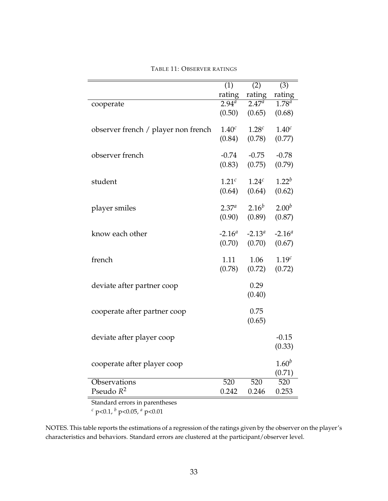|                                     | $\overline{(1)}$  | (2)               | (3)               |
|-------------------------------------|-------------------|-------------------|-------------------|
|                                     | rating            | rating            | rating            |
| cooperate                           | $2.94^{a}$        | $2.47^{a}$        | $1.78^{a}$        |
|                                     | (0.50)            | (0.65)            | (0.68)            |
| observer french / player non french | 1.40 <sup>c</sup> | 1.28 <sup>c</sup> | 1.40 <sup>c</sup> |
|                                     | (0.84)            | (0.78)            | (0.77)            |
| observer french                     | $-0.74$           | $-0.75$           | $-0.78$           |
|                                     | (0.83)            | (0.75)            | (0.79)            |
| student                             | 1.21 <sup>c</sup> | 1.24 <sup>c</sup> | $1.22^{b}$        |
|                                     | (0.64)            | (0.64)            | (0.62)            |
| player smiles                       | $2.37^{a}$        | $2.16^{b}$        | $2.00^{b}$        |
|                                     | (0.90)            | (0.89)            | (0.87)            |
| know each other                     | $-2.16^a$         | $-2.13^a$         | $-2.16a$          |
|                                     | (0.70)            | (0.70)            | (0.67)            |
| french                              | 1.11              | 1.06              | 1.19 <sup>c</sup> |
|                                     | (0.78)            | (0.72)            | (0.72)            |
| deviate after partner coop          |                   | 0.29              |                   |
|                                     |                   | (0.40)            |                   |
| cooperate after partner coop        |                   | 0.75              |                   |
|                                     |                   | (0.65)            |                   |
| deviate after player coop           |                   |                   | $-0.15$           |
|                                     |                   |                   | (0.33)            |
| cooperate after player coop         |                   |                   | $1.60^{b}$        |
|                                     |                   |                   | (0.71)            |
| Observations                        | 520               | 520               | 520               |
| Pseudo $R^2$                        | 0.242             | 0.246             | 0.253             |

### <span id="page-32-0"></span>TABLE 11: OBSERVER RATINGS

Standard errors in parentheses

*<sup>c</sup>* p<0.1, *<sup>b</sup>* p<0.05, *<sup>a</sup>* p<0.01

NOTES. This table reports the estimations of a regression of the ratings given by the observer on the player's characteristics and behaviors. Standard errors are clustered at the participant/observer level.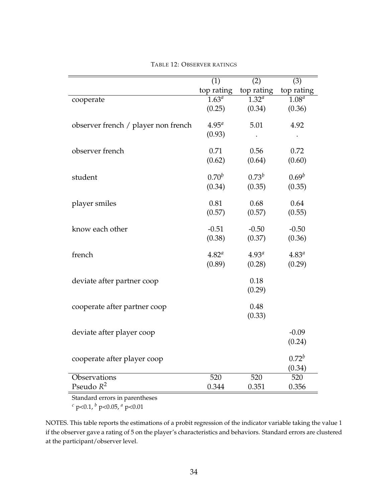|                                     | $\overline{(1)}$    | $\overline{(2)}$    | (3)                 |
|-------------------------------------|---------------------|---------------------|---------------------|
|                                     | top rating          | top rating          | top rating          |
| cooperate                           | $\overline{1.63^a}$ | $\overline{1.32^a}$ | $\overline{1.08^a}$ |
|                                     | (0.25)              | (0.34)              | (0.36)              |
| observer french / player non french | $4.95^{a}$          | 5.01                | 4.92                |
|                                     | (0.93)              |                     |                     |
| observer french                     | 0.71                | 0.56                | 0.72                |
|                                     | (0.62)              | (0.64)              | (0.60)              |
| student                             | $0.70^{b}$          | $0.73^{b}$          | $0.69^b$            |
|                                     | (0.34)              | (0.35)              | (0.35)              |
| player smiles                       | 0.81                | 0.68                | 0.64                |
|                                     | (0.57)              | (0.57)              | (0.55)              |
| know each other                     | $-0.51$             | $-0.50$             | $-0.50$             |
|                                     | (0.38)              | (0.37)              | (0.36)              |
| french                              | $4.82^{a}$          | 4.93 <sup>a</sup>   | $4.83^{a}$          |
|                                     | (0.89)              | (0.28)              | (0.29)              |
| deviate after partner coop          |                     | 0.18                |                     |
|                                     |                     | (0.29)              |                     |
| cooperate after partner coop        |                     | 0.48                |                     |
|                                     |                     | (0.33)              |                     |
| deviate after player coop           |                     |                     | $-0.09$             |
|                                     |                     |                     | (0.24)              |
| cooperate after player coop         |                     |                     | $0.72^{b}$          |
|                                     |                     |                     | (0.34)              |
| Observations                        | 520                 | 520                 | 520                 |
| Pseudo $R^2$                        | 0.344               | 0.351               | 0.356               |

<span id="page-33-0"></span>TABLE 12: OBSERVER RATINGS

*<sup>c</sup>* p<0.1, *<sup>b</sup>* p<0.05, *<sup>a</sup>* p<0.01

NOTES. This table reports the estimations of a probit regression of the indicator variable taking the value 1 if the observer gave a rating of 5 on the player's characteristics and behaviors. Standard errors are clustered at the participant/observer level.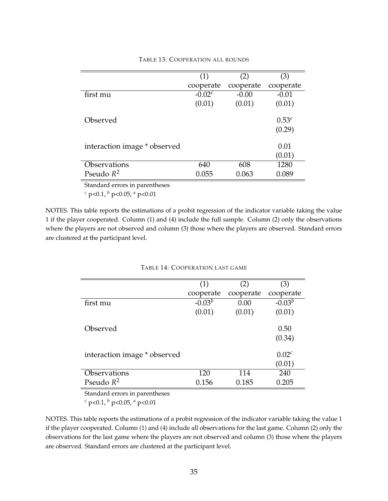|                              | (1)         | (2)       | (3)                |
|------------------------------|-------------|-----------|--------------------|
|                              | cooperate   | cooperate | cooperate          |
| first mu                     | $-0.02^{c}$ | $-0.00$   | $-0.01$            |
|                              | (0.01)      | (0.01)    | (0.01)             |
| Observed                     |             |           | $0.53^c$<br>(0.29) |
| interaction image * observed |             |           | 0.01<br>(0.01)     |
| Observations                 | 640         | 608       | 1280               |
| Pseudo $R^2$                 | 0.055       | 0.063     | 0.089              |

### <span id="page-34-0"></span>TABLE 13: COOPERATION ALL ROUNDS

Standard errors in parentheses

*<sup>c</sup>* p<0.1, *<sup>b</sup>* p<0.05, *<sup>a</sup>* p<0.01

NOTES. This table reports the estimations of a probit regression of the indicator variable taking the value 1 if the player cooperated. Column (1) and (4) include the full sample. Column (2) only the observations where the players are not observed and column (3) those where the players are observed. Standard errors are clustered at the participant level.

#### <span id="page-34-1"></span>TABLE 14: COOPERATION LAST GAME

|                              | (1)       | (2)       | (3)               |
|------------------------------|-----------|-----------|-------------------|
|                              | cooperate | cooperate | cooperate         |
| first mu                     | $-0.03^b$ | 0.00      | $-0.03^b$         |
|                              | (0.01)    | (0.01)    | (0.01)            |
|                              |           |           |                   |
| Observed                     |           |           | 0.50              |
|                              |           |           | (0.34)            |
|                              |           |           |                   |
| interaction image * observed |           |           | 0.02 <sup>c</sup> |
|                              |           |           | (0.01)            |
| Observations                 | 120       | 114       | 240               |
| Pseudo $R^2$                 | 0.156     | 0.185     | 0.205             |

Standard errors in parentheses

*<sup>c</sup>* p<0.1, *<sup>b</sup>* p<0.05, *<sup>a</sup>* p<0.01

NOTES. This table reports the estimations of a probit regression of the indicator variable taking the value 1 if the player cooperated. Column (1) and (4) include all observations for the last game. Column (2) only the observations for the last game where the players are not observed and column (3) those where the players are observed. Standard errors are clustered at the participant level.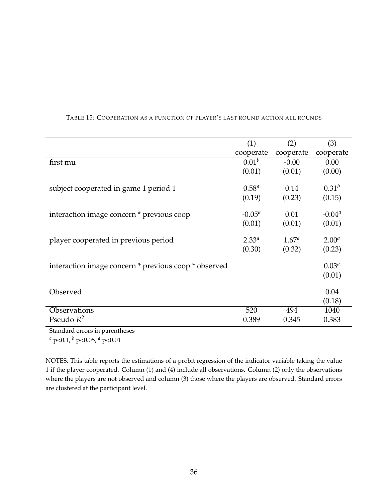|                                                      | (1)               | (2)            | (3)        |
|------------------------------------------------------|-------------------|----------------|------------|
|                                                      | cooperate         | cooperate      | cooperate  |
| first mu                                             | 0.01 <sup>b</sup> | $-0.00$        | 0.00       |
|                                                      | (0.01)            | (0.01)         | (0.00)     |
| subject cooperated in game 1 period 1                | $0.58^{a}$        | 0.14           | $0.31^{b}$ |
|                                                      | (0.19)            | (0.23)         | (0.15)     |
| interaction image concern * previous coop            | $-0.05^{\circ}$   | 0.01           | $-0.04a$   |
|                                                      | (0.01)            | (0.01)         | (0.01)     |
| player cooperated in previous period                 | $2.33^{a}$        | $1.67^{\circ}$ | $2.00^a$   |
|                                                      | (0.30)            | (0.32)         | (0.23)     |
| interaction image concern * previous coop * observed |                   |                | $0.03^{a}$ |
|                                                      |                   |                | (0.01)     |
| Observed                                             |                   |                | 0.04       |
|                                                      |                   |                | (0.18)     |
| Observations                                         | 520               | 494            | 1040       |
| Pseudo $R^2$                                         | 0.389             | 0.345          | 0.383      |

### <span id="page-35-0"></span>TABLE 15: COOPERATION AS A FUNCTION OF PLAYER'S LAST ROUND ACTION ALL ROUNDS

Standard errors in parentheses

*<sup>c</sup>* p<0.1, *<sup>b</sup>* p<0.05, *<sup>a</sup>* p<0.01

NOTES. This table reports the estimations of a probit regression of the indicator variable taking the value 1 if the player cooperated. Column (1) and (4) include all observations. Column (2) only the observations where the players are not observed and column (3) those where the players are observed. Standard errors are clustered at the participant level.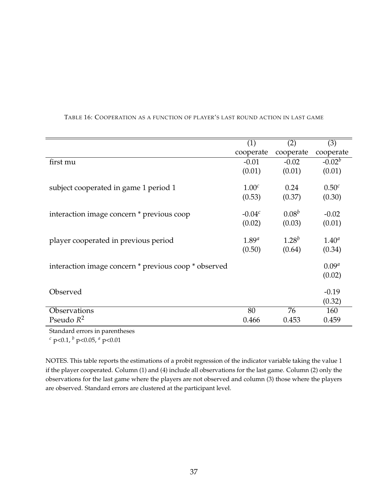|                                                      | (1)               | (2)        | (3)               |
|------------------------------------------------------|-------------------|------------|-------------------|
|                                                      | cooperate         | cooperate  | cooperate         |
| first mu                                             | $-0.01$           | $-0.02$    | $-0.02b$          |
|                                                      | (0.01)            | (0.01)     | (0.01)            |
| subject cooperated in game 1 period 1                | 1.00 <sup>c</sup> | 0.24       | 0.50 <sup>c</sup> |
|                                                      | (0.53)            | (0.37)     | (0.30)            |
| interaction image concern * previous coop            | $-0.04c$          | $0.08^{b}$ | $-0.02$           |
|                                                      | (0.02)            | (0.03)     | (0.01)            |
|                                                      |                   |            |                   |
| player cooperated in previous period                 | $1.89^{a}$        | $1.28^{b}$ | $1.40^{a}$        |
|                                                      | (0.50)            | (0.64)     | (0.34)            |
| interaction image concern * previous coop * observed |                   |            | $0.09^{a}$        |
|                                                      |                   |            | (0.02)            |
| Observed                                             |                   |            | $-0.19$           |
|                                                      |                   |            | (0.32)            |
| Observations                                         | 80                | 76         | 160               |
| Pseudo $R^2$                                         | 0.466             | 0.453      | 0.459             |

#### <span id="page-36-0"></span>TABLE 16: COOPERATION AS A FUNCTION OF PLAYER'S LAST ROUND ACTION IN LAST GAME

Standard errors in parentheses

*<sup>c</sup>* p<0.1, *<sup>b</sup>* p<0.05, *<sup>a</sup>* p<0.01

NOTES. This table reports the estimations of a probit regression of the indicator variable taking the value 1 if the player cooperated. Column (1) and (4) include all observations for the last game. Column (2) only the observations for the last game where the players are not observed and column (3) those where the players are observed. Standard errors are clustered at the participant level.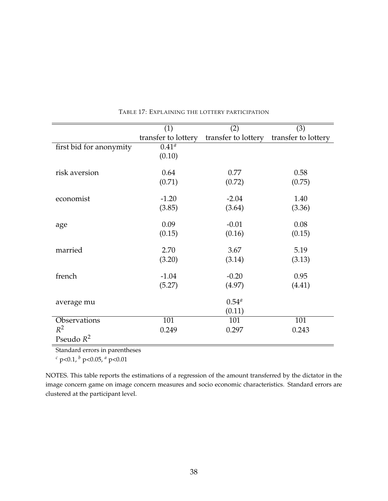|                         | (1)                 | (2)                 | (3)                 |
|-------------------------|---------------------|---------------------|---------------------|
|                         | transfer to lottery | transfer to lottery | transfer to lottery |
| first bid for anonymity | $0.41^{\circ}$      |                     |                     |
|                         | (0.10)              |                     |                     |
| risk aversion           | 0.64                | 0.77                | 0.58                |
|                         | (0.71)              | (0.72)              | (0.75)              |
| economist               | $-1.20$             | $-2.04$             | 1.40                |
|                         | (3.85)              | (3.64)              | (3.36)              |
| age                     | 0.09                | $-0.01$             | 0.08                |
|                         | (0.15)              | (0.16)              | (0.15)              |
| married                 | 2.70                | 3.67                | 5.19                |
|                         | (3.20)              | (3.14)              | (3.13)              |
| french                  | $-1.04$             | $-0.20$             | 0.95                |
|                         | (5.27)              | (4.97)              | (4.41)              |
| average mu              |                     | $0.54^{a}$          |                     |
|                         |                     | (0.11)              |                     |
| Observations            | 101                 | 101                 | 101                 |
| $R^2$                   | 0.249               | 0.297               | 0.243               |
| Pseudo $R^2$            |                     |                     |                     |

<span id="page-37-0"></span>TABLE 17: EXPLAINING THE LOTTERY PARTICIPATION

*<sup>c</sup>* p<0.1, *<sup>b</sup>* p<0.05, *<sup>a</sup>* p<0.01

NOTES. This table reports the estimations of a regression of the amount transferred by the dictator in the image concern game on image concern measures and socio economic characteristics. Standard errors are clustered at the participant level.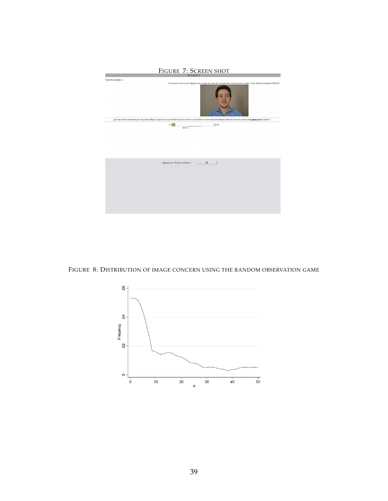<span id="page-38-0"></span>

FIGURE 8: DISTRIBUTION OF IMAGE CONCERN USING THE RANDOM OBSERVATION GAME

<span id="page-38-1"></span>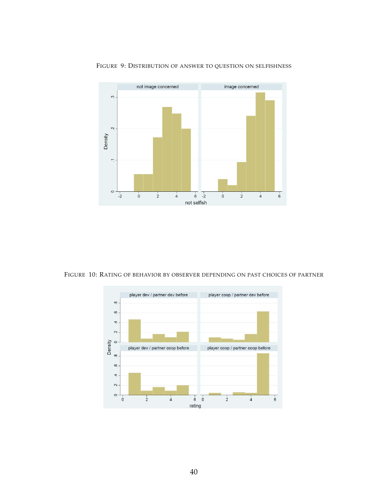

#### <span id="page-39-0"></span>FIGURE 9: DISTRIBUTION OF ANSWER TO QUESTION ON SELFISHNESS

FIGURE 10: RATING OF BEHAVIOR BY OBSERVER DEPENDING ON PAST CHOICES OF PARTNER

<span id="page-39-1"></span>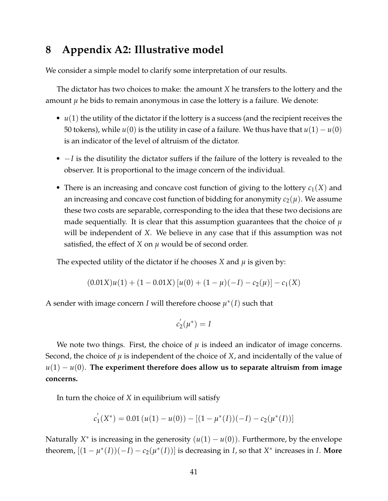# **8 Appendix A2: Illustrative model**

We consider a simple model to clarify some interpretation of our results.

The dictator has two choices to make: the amount *X* he transfers to the lottery and the amount  $\mu$  he bids to remain anonymous in case the lottery is a failure. We denote:

- *u*(1) the utility of the dictator if the lottery is a success (and the recipient receives the 50 tokens), while  $u(0)$  is the utility in case of a failure. We thus have that  $u(1) - u(0)$ is an indicator of the level of altruism of the dictator.
- −*I* is the disutility the dictator suffers if the failure of the lottery is revealed to the observer. It is proportional to the image concern of the individual.
- There is an increasing and concave cost function of giving to the lottery  $c_1(X)$  and an increasing and concave cost function of bidding for anonymity  $c_2(\mu)$ . We assume these two costs are separable, corresponding to the idea that these two decisions are made sequentially. It is clear that this assumption guarantees that the choice of  $\mu$ will be independent of *X*. We believe in any case that if this assumption was not satisfied, the effect of *X* on *µ* would be of second order.

The expected utility of the dictator if he chooses *X* and  $\mu$  is given by:

$$
(0.01X)u(1) + (1 - 0.01X) [u(0) + (1 - \mu)(-I) - c_2(\mu)] - c_1(X)
$$

A sender with image concern *I* will therefore choose  $\mu^*(I)$  such that

$$
c_2^{'}(\mu^*)=I
$$

We note two things. First, the choice of  $\mu$  is indeed an indicator of image concerns. Second, the choice of  $\mu$  is independent of the choice of *X*, and incidentally of the value of  $u(1) - u(0)$ . The experiment therefore does allow us to separate altruism from image **concerns.**

In turn the choice of *X* in equilibrium will satisfy

$$
c_1'(X^*) = 0.01 (u(1) - u(0)) - [(1 - \mu^*(I))(-I) - c_2(\mu^*(I))]
$$

Naturally  $X^*$  is increasing in the generosity  $(u(1) - u(0))$ . Furthermore, by the envelope theorem,  $[(1 - \mu^*(I))(-I) - c_2(\mu^*(I))]$  is decreasing in *I*, so that  $X^*$  increases in *I*. More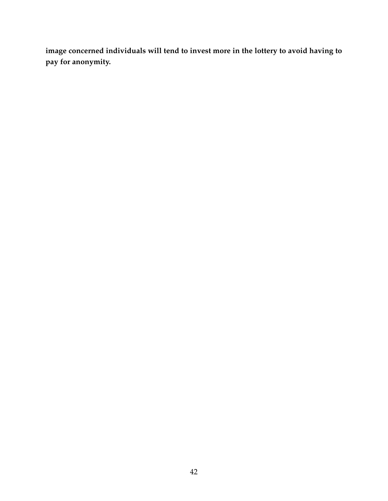**image concerned individuals will tend to invest more in the lottery to avoid having to pay for anonymity.**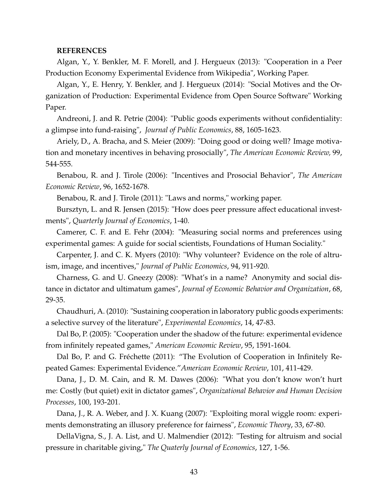#### **REFERENCES**

Algan, Y., Y. Benkler, M. F. Morell, and J. Hergueux (2013): "Cooperation in a Peer Production Economy Experimental Evidence from Wikipedia", Working Paper.

Algan, Y., E. Henry, Y. Benkler, and J. Hergueux (2014): "Social Motives and the Organization of Production: Experimental Evidence from Open Source Software" Working Paper.

Andreoni, J. and R. Petrie (2004): "Public goods experiments without confidentiality: a glimpse into fund-raising", *Journal of Public Economics*, 88, 1605-1623.

Ariely, D., A. Bracha, and S. Meier (2009): "Doing good or doing well? Image motivation and monetary incentives in behaving prosocially", *The American Economic Review,* 99, 544-555.

Benabou, R. and J. Tirole (2006): "Incentives and Prosocial Behavior", *The American Economic Review*, 96, 1652-1678.

Benabou, R. and J. Tirole (2011): "Laws and norms," working paper.

Bursztyn, L. and R. Jensen (2015): "How does peer pressure affect educational investments", *Quarterly Journal of Economics*, 1-40.

Camerer, C. F. and E. Fehr (2004): "Measuring social norms and preferences using experimental games: A guide for social scientists, Foundations of Human Sociality."

Carpenter, J. and C. K. Myers (2010): "Why volunteer? Evidence on the role of altruism, image, and incentives," *Journal of Public Economics*, 94, 911-920.

Charness, G. and U. Gneezy (2008): "What's in a name? Anonymity and social distance in dictator and ultimatum games", *Journal of Economic Behavior and Organization*, 68, 29-35.

Chaudhuri, A. (2010): "Sustaining cooperation in laboratory public goods experiments: a selective survey of the literature", *Experimental Economics*, 14, 47-83.

Dal Bo, P. (2005): "Cooperation under the shadow of the future: experimental evidence from infinitely repeated games," *American Economic Review*, 95, 1591-1604.

Dal Bo, P. and G. Fréchette (2011): "The Evolution of Cooperation in Infinitely Repeated Games: Experimental Evidence."*American Economic Review*, 101, 411-429.

Dana, J., D. M. Cain, and R. M. Dawes (2006): "What you don't know won't hurt me: Costly (but quiet) exit in dictator games", *Organizational Behavior and Human Decision Processes*, 100, 193-201.

Dana, J., R. A. Weber, and J. X. Kuang (2007): "Exploiting moral wiggle room: experiments demonstrating an illusory preference for fairness", *Economic Theory*, 33, 67-80.

DellaVigna, S., J. A. List, and U. Malmendier (2012): "Testing for altruism and social pressure in charitable giving," *The Quaterly Journal of Economics*, 127, 1-56.